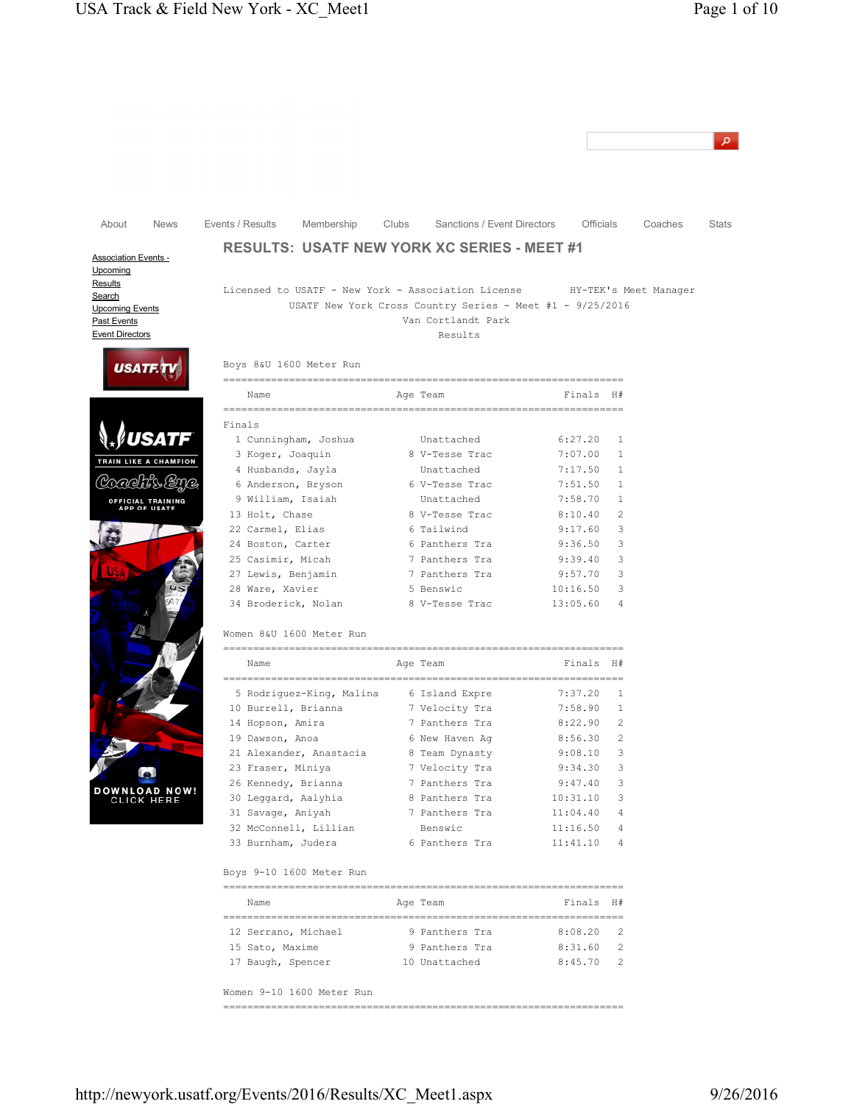| <b>News</b><br>Events / Results<br>Membership<br>Clubs<br>Sanctions / Event Directors<br><b>Officials</b>                                                                                              |         |
|--------------------------------------------------------------------------------------------------------------------------------------------------------------------------------------------------------|---------|
|                                                                                                                                                                                                        |         |
| About                                                                                                                                                                                                  |         |
|                                                                                                                                                                                                        | Coaches |
| <b>RESULTS: USATF NEW YORK XC SERIES - MEET #1</b>                                                                                                                                                     |         |
| <b>Association Events -</b><br>Upcoming                                                                                                                                                                |         |
| Licensed to USATF - New York - Association License HY-TEK's Meet Manager<br>USATF New York Cross Country Series - Meet #1 - $9/25/2016$<br><b>Upcoming Events</b><br>Van Cortlandt Park<br>Past Events |         |
| Event Directors<br>Results                                                                                                                                                                             |         |
| Boys 8&U 1600 Meter Run<br><b>USATI</b>                                                                                                                                                                |         |
| Name<br>Finals H#<br>Age Team                                                                                                                                                                          |         |
| ===============================<br>================================<br>Finals                                                                                                                          |         |
| 1 Cunningham, Joshua<br>Unattached<br>6:27.20<br>1                                                                                                                                                     |         |
| 3 Koger, Joaquin<br>8 V-Tesse Trac<br>7:07.00<br>$\mathbf{1}$                                                                                                                                          |         |
| TRAIN LIKE A CHAMPION<br>4 Husbands, Jayla<br>Unattached<br>7:17.50<br>$\mathbf{1}$                                                                                                                    |         |
| ويواصعن<br>6 Anderson, Bryson<br>6 V-Tesse Trac<br>7:51.50<br>1                                                                                                                                        |         |
| 9 William, Isaiah<br>7:58.70<br>Unattached<br>1<br><b>OFFICIAL TRAINING<br/>APP OF USATF</b>                                                                                                           |         |
| 13 Holt, Chase<br>$\overline{c}$<br>8 V-Tesse Trac<br>8:10.40                                                                                                                                          |         |
| 22 Carmel, Elias<br>6 Tailwind<br>3<br>9:17.60                                                                                                                                                         |         |
| 24 Boston, Carter<br>6 Panthers Tra<br>9:36.50<br>3                                                                                                                                                    |         |
| 25 Casimir, Micah<br>7 Panthers Tra<br>9:39.40<br>3                                                                                                                                                    |         |
| 27 Lewis, Benjamin<br>7 Panthers Tra<br>9:57.70<br>3                                                                                                                                                   |         |
| 28 Ware, Xavier<br>5 Benswic<br>3<br>10:16.50                                                                                                                                                          |         |
| 34 Broderick, Nolan<br>8 V-Tesse Trac<br>13:05.60<br>4                                                                                                                                                 |         |
| Women 8&U 1600 Meter Run                                                                                                                                                                               |         |
| Finals H#<br>Name<br>Age Team                                                                                                                                                                          |         |
| 5 Rodriquez-King, Malina 6 Island Expre<br>7:37.20<br>1                                                                                                                                                |         |
| 10 Burrell, Brianna<br>7 Velocity Tra<br>7:58.90<br>1                                                                                                                                                  |         |
| 14 Hopson, Amira<br>7 Panthers Tra<br>8:22.90<br>2                                                                                                                                                     |         |
| 19 Dawson, Anoa<br>6 New Haven Ag<br>8:56.30<br>2                                                                                                                                                      |         |
| 21 Alexander, Anastacia<br>8 Team Dynasty<br>9:08.10<br>3                                                                                                                                              |         |
| 23 Fraser, Miniya<br>7 Velocity Tra<br>9:34.30<br>3                                                                                                                                                    |         |
| 3<br>26 Kennedy, Brianna<br>7 Panthers Tra<br>9:47.40                                                                                                                                                  |         |
| DOWNLOAD NOW!<br>30 Leggard, Aalyhia<br>8 Panthers Tra<br>3<br><b>CLICK HERE</b><br>10:31.10                                                                                                           |         |
| 31 Savage, Aniyah<br>7 Panthers Tra<br>11:04.40<br>$\overline{4}$                                                                                                                                      |         |
| Benswic<br>32 McConnell, Lillian<br>11:16.50<br>4                                                                                                                                                      |         |
| 33 Burnham, Judera<br>6 Panthers Tra<br>11:41.10<br>4                                                                                                                                                  |         |
| Boys 9-10 1600 Meter Run                                                                                                                                                                               |         |
| Finals H#<br>Name<br>Age Team                                                                                                                                                                          |         |
| 9 Panthers Tra<br>8:08.20<br>2<br>12 Serrano, Michael                                                                                                                                                  |         |
| 9 Panthers Tra<br>15 Sato, Maxime<br>8:31.60<br>2                                                                                                                                                      |         |
| 10 Unattached<br>8:45.70<br>2<br>17 Baugh, Spencer                                                                                                                                                     |         |
| Women 9-10 1600 Meter Run                                                                                                                                                                              |         |

===================================================================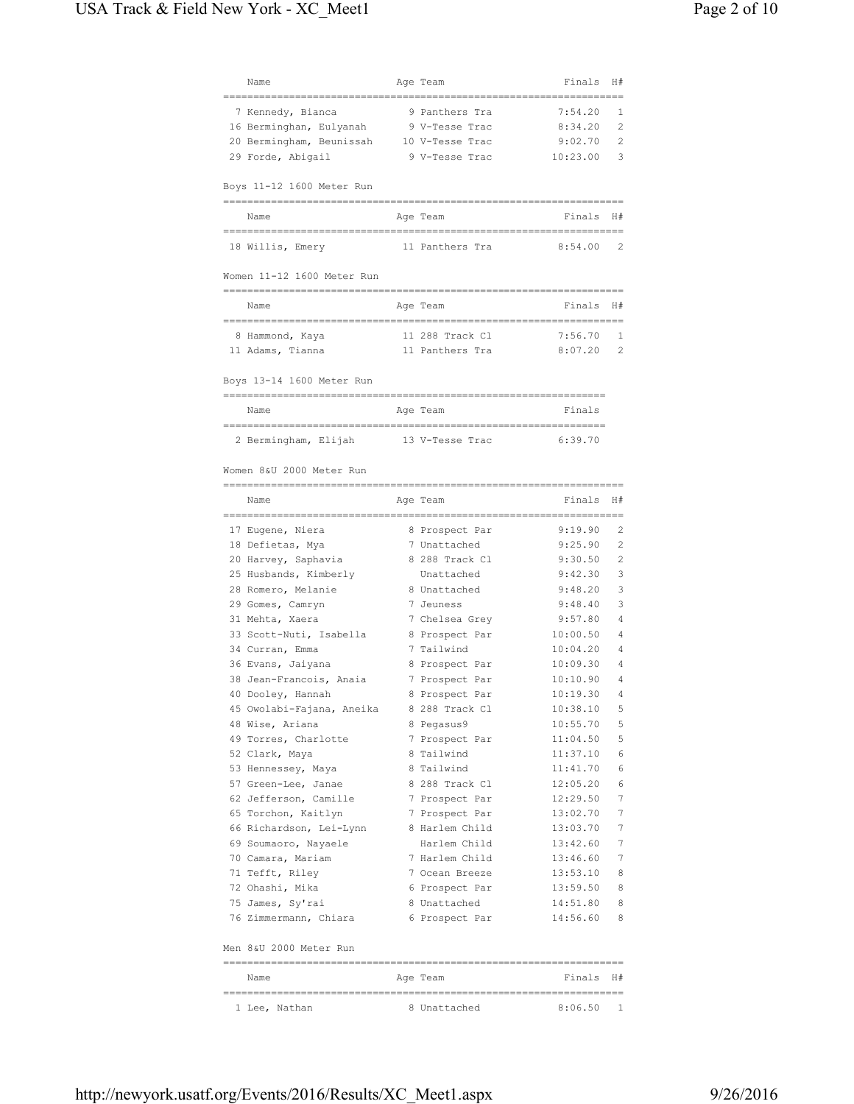| Name                                         | Age Team                        | Finals                   | H#             |
|----------------------------------------------|---------------------------------|--------------------------|----------------|
| 7 Kennedy, Bianca                            | 9 Panthers Tra                  | 7:54.20                  | 1              |
| 16 Berminghan, Eulyanah                      | 9 V-Tesse Trac                  | 8:34.20                  | 2              |
| 20 Bermingham, Beunissah                     | 10 V-Tesse Trac                 | 9:02.70                  | 2              |
| 29 Forde, Abigail                            | 9 V-Tesse Trac                  | 10:23.00                 | 3              |
|                                              |                                 |                          |                |
| Boys 11-12 1600 Meter Run                    |                                 |                          |                |
| Name                                         | Age Team                        | Finals H#                |                |
| 18 Willis, Emery                             | 11 Panthers Tra                 | 8:54.00                  | 2              |
| Women 11-12 1600 Meter Run                   |                                 |                          |                |
| Name                                         | Age Team                        | Finals H#                |                |
|                                              |                                 |                          |                |
| 8 Hammond, Kaya                              | 11 288 Track Cl                 | 7:56.70                  | 1              |
| 11 Adams, Tianna                             | 11 Panthers Tra                 | 8:07.20                  | 2              |
| Boys 13-14 1600 Meter Run                    |                                 |                          |                |
| Name                                         | Age Team                        | Finals                   |                |
|                                              |                                 |                          |                |
| 2 Bermingham, Elijah         13 V-Tesse Trac |                                 | 6:39.70                  |                |
| Women 8&U 2000 Meter Run                     |                                 |                          |                |
|                                              |                                 |                          |                |
| Name                                         | Age Team<br>=================== | Finals<br>============== | H#             |
| 17 Eugene, Niera                             | 8 Prospect Par                  | 9:19.90                  | 2              |
| 18 Defietas, Mya                             | 7 Unattached                    | 9:25.90                  | 2              |
| 20 Harvey, Saphavia                          | 8 288 Track Cl                  | 9:30.50                  | $\overline{c}$ |
| 25 Husbands, Kimberly                        | Unattached                      | 9:42.30                  | 3              |
| 28 Romero, Melanie                           | 8 Unattached                    | 9:48.20                  | 3              |
| 29 Gomes, Camryn                             | 7 Jeuness                       | 9:48.40                  | 3              |
| 31 Mehta, Xaera                              | 7 Chelsea Grey                  | 9:57.80                  | 4              |
| 33 Scott-Nuti, Isabella                      | 8 Prospect Par                  | 10:00.50                 | 4              |
| 34 Curran, Emma                              | 7 Tailwind                      | 10:04.20                 | 4              |
| 36 Evans, Jaiyana                            | 8 Prospect Par                  | 10:09.30                 | $\overline{4}$ |
| 38 Jean-Francois, Anaia                      | 7 Prospect Par                  | 10:10.90                 | 4              |
| 40 Dooley, Hannah                            | 8 Prospect Par                  | 10:19.30                 | 4              |
| 45 Owolabi-Fajana, Aneika                    | 8 288 Track Cl                  | 10:38.10                 | 5              |
| 48 Wise, Ariana                              | 8 Pegasus9                      | 10:55.70                 | 5              |
| 49 Torres, Charlotte                         | 7 Prospect Par                  | 11:04.50                 | 5              |
| 52 Clark, Maya                               | 8 Tailwind                      | 11:37.10                 | 6              |
| 53 Hennessey, Maya                           | 8 Tailwind                      | 11:41.70                 | 6              |
| 57 Green-Lee, Janae                          | 8 288 Track Cl                  | 12:05.20                 | 6              |
| 62 Jefferson, Camille                        | 7 Prospect Par                  | 12:29.50                 | 7              |
| 65 Torchon, Kaitlyn                          | 7 Prospect Par                  | 13:02.70                 | 7              |
| 66 Richardson, Lei-Lynn                      | 8 Harlem Child                  | 13:03.70                 | 7              |
| 69 Soumaoro, Nayaele                         | Harlem Child                    | 13:42.60                 | 7              |
| 70 Camara, Mariam                            | 7 Harlem Child                  | 13:46.60                 | 7              |
| 71 Tefft, Riley                              | 7 Ocean Breeze                  | 13:53.10                 | 8              |
| 72 Ohashi, Mika                              | 6 Prospect Par                  | 13:59.50                 | 8              |
| 75 James, Sy'rai                             | 8 Unattached                    | 14:51.80                 | 8              |
| 76 Zimmermann, Chiara                        | 6 Prospect Par                  | 14:56.60                 | - 8            |
| Men 8&U 2000 Meter Run                       |                                 |                          |                |
|                                              |                                 |                          |                |
| Name                                         | Age Team                        | Finals H#                |                |
| 1 Lee, Nathan                                | 8 Unattached                    | 8:06.50                  | -1             |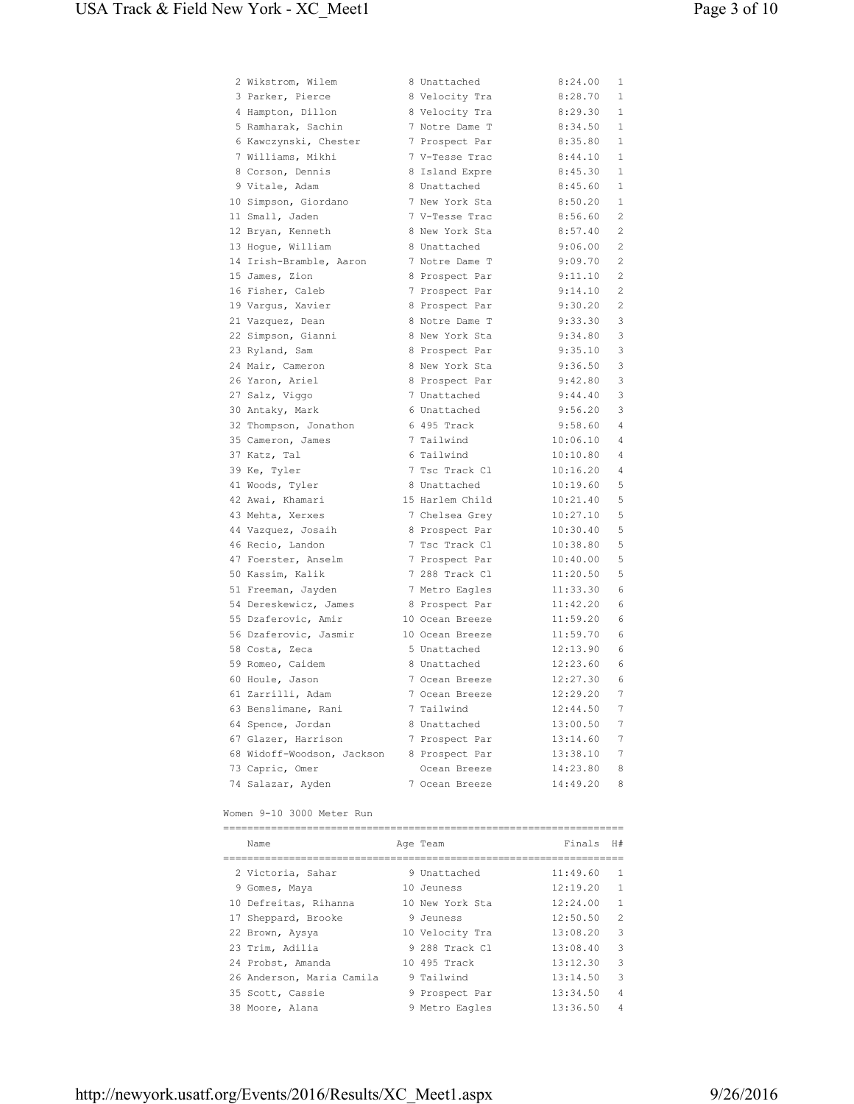| 2 Wikstrom, Wilem                       | 8 Unattached                     | 8:24.00              | 1              |
|-----------------------------------------|----------------------------------|----------------------|----------------|
| 3 Parker, Pierce                        | 8 Velocity Tra                   | 8:28.70              | 1              |
| 4 Hampton, Dillon                       | 8 Velocity Tra                   | 8:29.30              | $\mathbf{1}$   |
| 5 Ramharak, Sachin                      | 7 Notre Dame T                   | 8:34.50              | $\mathbf{1}$   |
| 6 Kawczynski, Chester                   | 7 Prospect Par                   | 8:35.80              | $\mathbf 1$    |
| 7 Williams, Mikhi                       | 7 V-Tesse Trac                   | 8:44.10              | $\mathbf{1}$   |
| 8 Corson, Dennis                        | 8 Island Expre                   | 8:45.30              | $\mathbf{1}$   |
| 9 Vitale, Adam                          | 8 Unattached                     | 8:45.60              | 1              |
| 10 Simpson, Giordano                    | 7 New York Sta                   | 8:50.20              | $\mathbf{1}$   |
| 11 Small, Jaden                         | 7 V-Tesse Trac                   | 8:56.60              | 2              |
| 12 Bryan, Kenneth                       | 8 New York Sta                   | 8:57.40              | $\overline{c}$ |
| 13 Hogue, William                       | 8 Unattached                     | 9:06.00              | $\mathbf{2}$   |
| 14 Irish-Bramble, Aaron                 | 7 Notre Dame T                   | 9:09.70              | 2              |
| 15 James, Zion                          | 8 Prospect Par                   | 9:11.10              | 2              |
| 16 Fisher, Caleb                        | 7 Prospect Par                   | 9:14.10              | $\mathbf{2}$   |
| 19 Vargus, Xavier                       | 8 Prospect Par                   | 9:30.20              | $\mathbf{2}$   |
| 21 Vazquez, Dean                        | 8 Notre Dame T                   | 9:33.30              | 3              |
| 22 Simpson, Gianni                      | 8 New York Sta                   | 9:34.80              | 3              |
| 23 Ryland, Sam                          | 8 Prospect Par                   | 9:35.10              | 3              |
| 24 Mair, Cameron                        | 8 New York Sta                   | 9:36.50              | 3              |
| 26 Yaron, Ariel                         | 8 Prospect Par                   | 9:42.80              | 3              |
| 27 Salz, Viggo                          | 7 Unattached                     | 9:44.40              | 3              |
| 30 Antaky, Mark                         | 6 Unattached                     | 9:56.20              | 3              |
| 32 Thompson, Jonathon                   | 6 495 Track                      | 9:58.60              | $\overline{4}$ |
| 35 Cameron, James                       | 7 Tailwind                       | 10:06.10             | 4              |
| 37 Katz, Tal                            | 6 Tailwind                       | 10:10.80             | 4              |
| 39 Ke, Tyler                            | 7 Tsc Track Cl                   | 10:16.20             | $\overline{4}$ |
| 41 Woods, Tyler                         | 8 Unattached                     | 10:19.60             | 5              |
| 42 Awai, Khamari                        | 15 Harlem Child                  | 10:21.40             | 5              |
| 43 Mehta, Xerxes                        | 7 Chelsea Grey                   | 10:27.10             | 5              |
|                                         |                                  | 10:30.40             | 5              |
| 44 Vazquez, Josaih<br>46 Recio, Landon  | 8 Prospect Par<br>7 Tsc Track Cl | 10:38.80             | 5              |
|                                         |                                  |                      |                |
| 47 Foerster, Anselm<br>50 Kassim, Kalik | 7 Prospect Par<br>7 288 Track Cl | 10:40.00<br>11:20.50 | 5<br>5         |
|                                         |                                  |                      |                |
| 51 Freeman, Jayden                      | 7 Metro Eagles                   | 11:33.30             | 6              |
| 54 Dereskewicz, James                   | 8 Prospect Par                   | 11:42.20             | 6              |
| 55 Dzaferovic, Amir                     | 10 Ocean Breeze                  | 11:59.20             | 6              |
| 56 Dzaferovic, Jasmir                   | 10 Ocean Breeze                  | 11:59.70             | 6              |
| 58 Costa, Zeca                          | 5 Unattached                     | 12:13.90             | 6              |
| 59 Romeo, Caidem                        | 8 Unattached                     | 12:23.60             | 6              |
| 60 Houle, Jason                         | 7 Ocean Breeze                   | 12:27.30             | 6              |
| 61 Zarrilli, Adam                       | 7 Ocean Breeze                   | 12:29.20             | 7              |
| 63 Benslimane, Rani                     | 7 Tailwind                       | 12:44.50             | 7              |
| 64 Spence, Jordan                       | 8 Unattached                     | 13:00.50             | 7              |
| 67 Glazer, Harrison                     | 7 Prospect Par                   | 13:14.60             | 7              |
| 68 Widoff-Woodson, Jackson              | 8 Prospect Par                   | 13:38.10             | 7              |
| 73 Capric, Omer                         | Ocean Breeze                     | 14:23.80             | 8              |
| 74 Salazar, Ayden                       | 7 Ocean Breeze                   | 14:49.20             | 8              |

Women 9-10 3000 Meter Run

| Name                      |  | Age Team        | Finals   | H#             |  |  |  |
|---------------------------|--|-----------------|----------|----------------|--|--|--|
|                           |  |                 |          |                |  |  |  |
| 2 Victoria, Sahar         |  | 9 Unattached    | 11:49.60 | 1              |  |  |  |
| 9 Gomes, Maya             |  | 10 Jeuness      | 12:19.20 | 1              |  |  |  |
| 10 Defreitas, Rihanna     |  | 10 New York Sta | 12:24.00 | 1              |  |  |  |
| 17 Sheppard, Brooke       |  | 9 Jeuness       | 12:50.50 | $\mathfrak{D}$ |  |  |  |
| 22 Brown, Aysya           |  | 10 Velocity Tra | 13:08.20 | 3              |  |  |  |
| 23 Trim, Adilia           |  | 9 288 Track Cl  | 13:08.40 | २              |  |  |  |
| 24 Probst, Amanda         |  | 10 495 Track    | 13:12.30 | 3              |  |  |  |
| 26 Anderson, Maria Camila |  | 9 Tailwind      | 13:14.50 | 3              |  |  |  |
| 35 Scott, Cassie          |  | 9 Prospect Par  | 13:34.50 | 4              |  |  |  |
| 38 Moore, Alana           |  | 9 Metro Eagles  | 13:36.50 | 4              |  |  |  |
|                           |  |                 |          |                |  |  |  |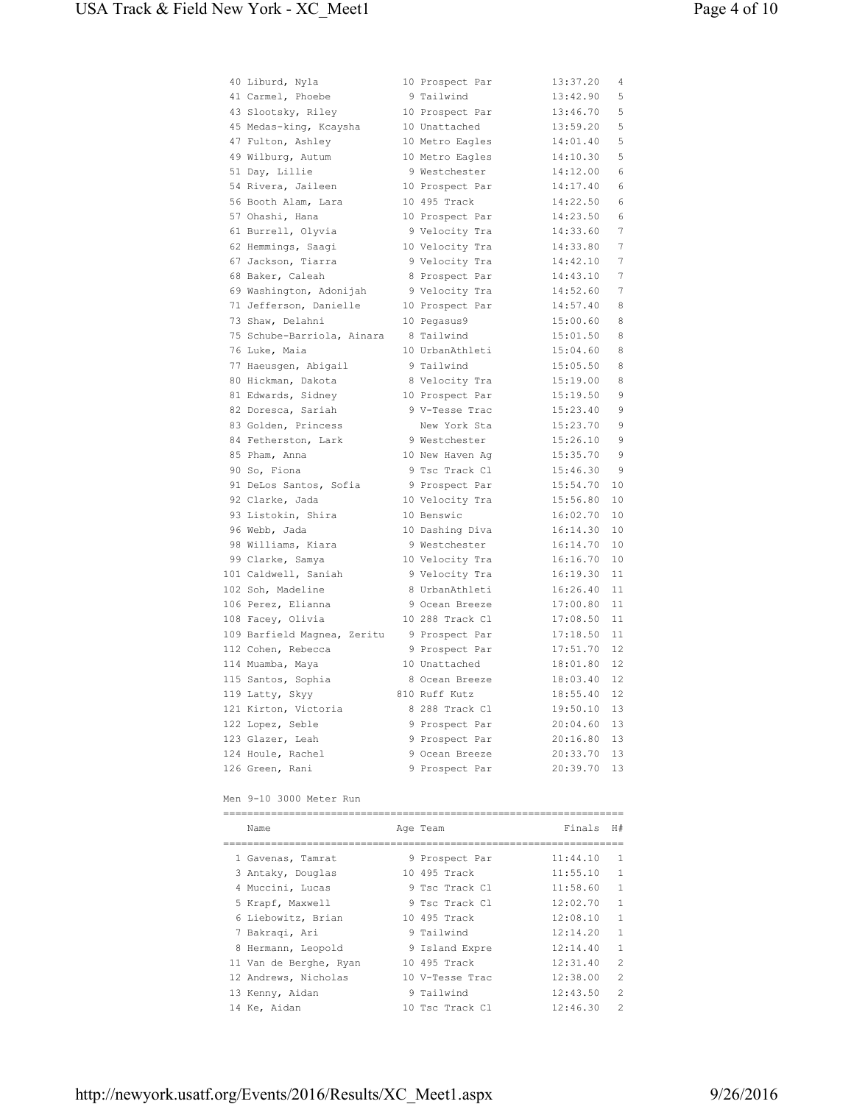| 40 Liburd, Nyla             | 10 Prospect Par | 13:37.20 | 4  |
|-----------------------------|-----------------|----------|----|
| 41 Carmel, Phoebe           | 9 Tailwind      | 13:42.90 | 5  |
| 43 Slootsky, Riley          | 10 Prospect Par | 13:46.70 | 5  |
| 45 Medas-king, Kcaysha      | 10 Unattached   | 13:59.20 | 5  |
| 47 Fulton, Ashley           | 10 Metro Eagles | 14:01.40 | 5  |
| 49 Wilburg, Autum           | 10 Metro Eagles | 14:10.30 | 5  |
| 51 Day, Lillie              | 9 Westchester   | 14:12.00 | 6  |
| 54 Rivera, Jaileen          | 10 Prospect Par | 14:17.40 | 6  |
| 56 Booth Alam, Lara         | 10 495 Track    | 14:22.50 | 6  |
| 57 Ohashi, Hana             | 10 Prospect Par | 14:23.50 | 6  |
| 61 Burrell, Olyvia          | 9 Velocity Tra  | 14:33.60 | 7  |
| 62 Hemmings, Saagi          | 10 Velocity Tra | 14:33.80 | 7  |
| 67 Jackson, Tiarra          | 9 Velocity Tra  | 14:42.10 | 7  |
| 68 Baker, Caleah            | 8 Prospect Par  | 14:43.10 | 7  |
| 69 Washington, Adonijah     | 9 Velocity Tra  | 14:52.60 | 7  |
| 71 Jefferson, Danielle      | 10 Prospect Par | 14:57.40 | 8  |
| 73 Shaw, Delahni            | 10 Pegasus9     | 15:00.60 | 8  |
| 75 Schube-Barriola, Ainara  | 8 Tailwind      | 15:01.50 | 8  |
| 76 Luke, Maia               | 10 UrbanAthleti | 15:04.60 | 8  |
| 77 Haeusgen, Abigail        | 9 Tailwind      | 15:05.50 | 8  |
| 80 Hickman, Dakota          | 8 Velocity Tra  | 15:19.00 | 8  |
| 81 Edwards, Sidney          | 10 Prospect Par | 15:19.50 | 9  |
| 82 Doresca, Sariah          | 9 V-Tesse Trac  | 15:23.40 | 9  |
| 83 Golden, Princess         | New York Sta    | 15:23.70 | 9  |
| 84 Fetherston, Lark         | 9 Westchester   | 15:26.10 | 9  |
| 85 Pham, Anna               | 10 New Haven Ag | 15:35.70 | 9  |
| 90 So, Fiona                | 9 Tsc Track Cl  | 15:46.30 | 9  |
| 91 DeLos Santos, Sofia      | 9 Prospect Par  | 15:54.70 | 10 |
| 92 Clarke, Jada             | 10 Velocity Tra | 15:56.80 | 10 |
| 93 Listokin, Shira          | 10 Benswic      | 16:02.70 | 10 |
| 96 Webb, Jada               | 10 Dashing Diva | 16:14.30 | 10 |
| 98 Williams, Kiara          | 9 Westchester   | 16:14.70 | 10 |
| 99 Clarke, Samya            | 10 Velocity Tra | 16:16.70 | 10 |
| 101 Caldwell, Saniah        | 9 Velocity Tra  | 16:19.30 | 11 |
| 102 Soh, Madeline           | 8 UrbanAthleti  | 16:26.40 | 11 |
| 106 Perez, Elianna          | 9 Ocean Breeze  | 17:00.80 | 11 |
| 108 Facey, Olivia           | 10 288 Track Cl | 17:08.50 | 11 |
| 109 Barfield Magnea, Zeritu | 9 Prospect Par  | 17:18.50 | 11 |
| 112 Cohen, Rebecca          | 9 Prospect Par  | 17:51.70 | 12 |
| 114 Muamba, Maya            | 10 Unattached   | 18:01.80 | 12 |
| 115 Santos, Sophia          | 8 Ocean Breeze  | 18:03.40 | 12 |
| 119 Latty, Skyy             | 810 Ruff Kutz   | 18:55.40 | 12 |
| 121 Kirton, Victoria        | 8 288 Track Cl  | 19:50.10 | 13 |
| 122 Lopez, Seble            | 9 Prospect Par  | 20:04.60 | 13 |
| 123 Glazer, Leah            | 9 Prospect Par  | 20:16.80 | 13 |
| 124 Houle, Rachel           | 9 Ocean Breeze  | 20:33.70 | 13 |
| 126 Green, Rani             | 9 Prospect Par  | 20:39.70 | 13 |

# Men 9-10 3000 Meter Run

| Name                   |  | Age Team        | Finals   | H#             |  |  |  |
|------------------------|--|-----------------|----------|----------------|--|--|--|
|                        |  |                 |          |                |  |  |  |
| 1 Gavenas, Tamrat      |  | 9 Prospect Par  | 11:44.10 | 1              |  |  |  |
| 3 Antaky, Douglas      |  | 10 495 Track    | 11:55.10 | 1              |  |  |  |
| 4 Muccini, Lucas       |  | 9 Tsc Track Cl  | 11:58.60 | 1              |  |  |  |
| 5 Krapf, Maxwell       |  | 9 Tsc Track Cl  | 12:02.70 | 1              |  |  |  |
| 6 Liebowitz, Brian     |  | 10 495 Track    | 12:08.10 | 1              |  |  |  |
| 7 Bakragi, Ari         |  | 9 Tailwind      | 12:14.20 | 1              |  |  |  |
| 8 Hermann, Leopold     |  | 9 Island Expre  | 12:14.40 | 1              |  |  |  |
| 11 Van de Berghe, Ryan |  | 10 495 Track    | 12:31.40 | $\mathfrak{D}$ |  |  |  |
| 12 Andrews, Nicholas   |  | 10 V-Tesse Trac | 12:38.00 | $\mathfrak{D}$ |  |  |  |
| 13 Kenny, Aidan        |  | 9 Tailwind      | 12:43.50 | $\mathfrak{D}$ |  |  |  |
| 14 Ke, Aidan           |  | 10 Tsc Track Cl | 12:46.30 | $\mathfrak{D}$ |  |  |  |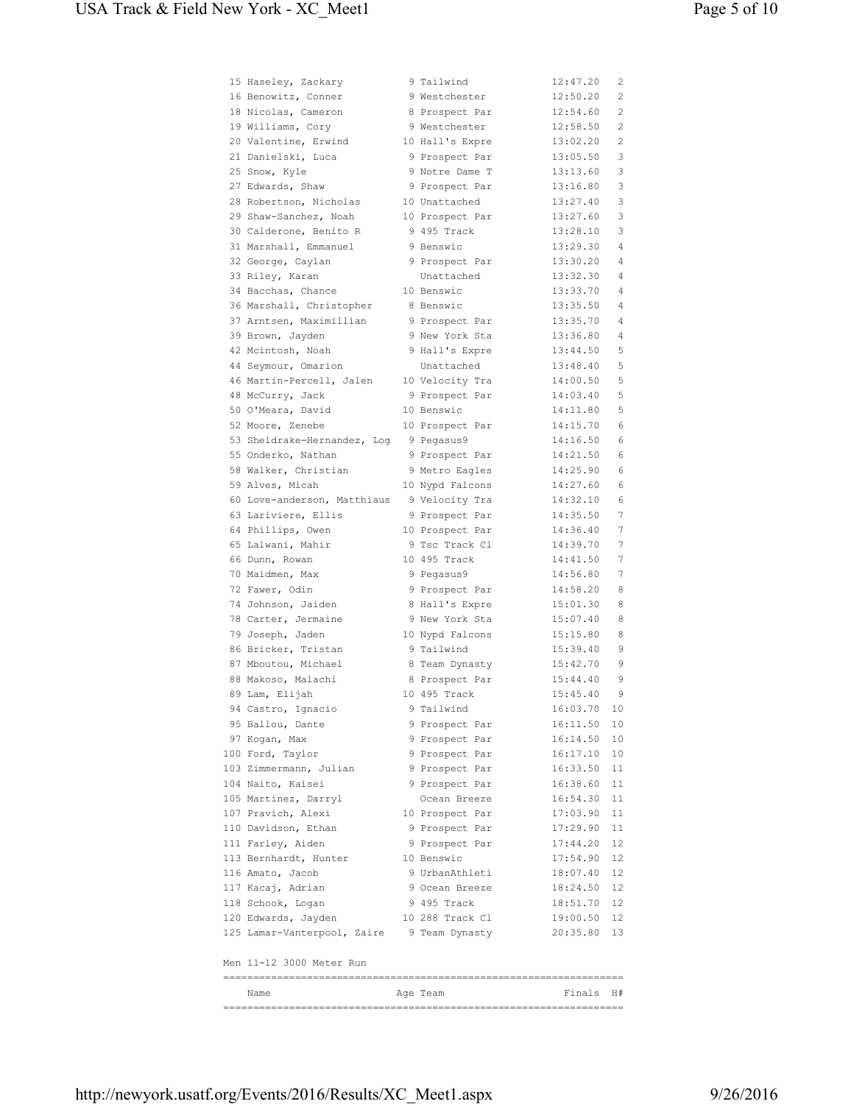| 15 Haseley, Zackary         | 9 Tailwind      | 12:47.20    | 2      |
|-----------------------------|-----------------|-------------|--------|
| 16 Benowitz, Conner         | 9 Westchester   | 12:50.20    | 2      |
| 18 Nicolas, Cameron         | 8 Prospect Par  | 12:54.60    | 2      |
| 19 Williams, Cory           | 9 Westchester   | 12:58.50    | 2      |
| 20 Valentine, Erwind        | 10 Hall's Expre | 13:02.20    | 2      |
| 21 Danielski, Luca          | 9 Prospect Par  | 13:05.50    | 3      |
| 25 Snow, Kyle               | 9 Notre Dame T  | 13:13.60    | 3      |
| 27 Edwards, Shaw            | 9 Prospect Par  | 13:16.80    | 3      |
| 28 Robertson, Nicholas      | 10 Unattached   | 13:27.40    | 3      |
| 29 Shaw-Sanchez, Noah       | 10 Prospect Par | 13:27.60    | 3      |
| 30 Calderone, Benito R      | 9 495 Track     | 13:28.10    | 3      |
| 31 Marshall, Emmanuel       | 9 Benswic       | 13:29.30    | 4      |
| 32 George, Caylan           | 9 Prospect Par  | 13:30.20    | 4      |
| 33 Riley, Karan             | Unattached      | 13:32.30    | 4      |
| 34 Bacchas, Chance          | 10 Benswic      | 13:33.70    | 4      |
| 36 Marshall, Christopher    | 8 Benswic       | 13:35.50    | 4      |
| 37 Arntsen, Maximillian     | 9 Prospect Par  | 13:35.70    | 4      |
| 39 Brown, Jayden            | 9 New York Sta  | 13:36.80    | 4      |
| 42 Mcintosh, Noah           | 9 Hall's Expre  | 13:44.50    | 5      |
| 44 Seymour, Omarion         | Unattached      | 13:48.40    | 5      |
| 46 Martin-Percell, Jalen    | 10 Velocity Tra | 14:00.50    | 5      |
| 48 McCurry, Jack            | 9 Prospect Par  | 14:03.40    | 5      |
| 50 O'Meara, David           | 10 Benswic      | 14:11.80    | 5      |
| 52 Moore, Zenebe            | 10 Prospect Par | 14:15.70    | 6      |
| 53 Sheldrake-Hernandez, Log | 9 Pegasus9      | 14:16.50    | 6      |
| 55 Onderko, Nathan          | 9 Prospect Par  | 14:21.50    | 6      |
| 58 Walker, Christian        | 9 Metro Eagles  | 14:25.90    | 6      |
| 59 Alves, Micah             | 10 Nypd Falcons | 14:27.60    | 6      |
| 60 Love-anderson, Matthiaus | 9 Velocity Tra  | 14:32.10    | 6      |
| 63 Lariviere, Ellis         | 9 Prospect Par  | 14:35.50    | 7      |
| 64 Phillips, Owen           | 10 Prospect Par | 14:36.40    | 7      |
| 65 Lalwani, Mahir           | 9 Tsc Track Cl  | 14:39.70    | 7      |
| 66 Dunn, Rowan              | 10 495 Track    | 14:41.50    | 7      |
| 70 Maidmen, Max             | 9 Pegasus9      | 14:56.80    | 7      |
| 72 Fawer, Odin              | 9 Prospect Par  | 14:58.20    | 8      |
| 74 Johnson, Jaiden          | 8 Hall's Expre  | 15:01.30    | 8      |
| 78 Carter, Jermaine         | 9 New York Sta  | 15:07.40    | 8      |
|                             |                 | 15:15.80    |        |
| 79 Joseph, Jaden            | 10 Nypd Falcons |             | 8<br>9 |
| 86 Bricker, Tristan         | 9 Tailwind      | 15:39.40    |        |
| 87 Mboutou, Michael         | 8 Team Dynasty  | 15:42.70    | 9      |
| 88 Makoso, Malachi          | 8 Prospect Par  | 15:44.40    | 9      |
| 89 Lam, Elijah              | 10 495 Track    | 15:45.40    | 9      |
| 94 Castro, Ignacio          | 9 Tailwind      | 16:03.70    | 10     |
| 95 Ballou, Dante            | 9 Prospect Par  | 16:11.50 10 |        |
| 97 Kogan, Max               | 9 Prospect Par  | 16:14.50 10 |        |
| 100 Ford, Taylor            | 9 Prospect Par  | 16:17.10 10 |        |
| 103 Zimmermann, Julian      | 9 Prospect Par  | 16:33.50 11 |        |
| 104 Naito, Kaisei           | 9 Prospect Par  | 16:38.60 11 |        |
| 105 Martinez, Darryl        | Ocean Breeze    | 16:54.30 11 |        |
| 107 Pravich, Alexi          | 10 Prospect Par | 17:03.90    | - 11   |
| 110 Davidson, Ethan         | 9 Prospect Par  | 17:29.90    | -11    |
| 111 Farley, Aiden           | 9 Prospect Par  | 17:44.20 12 |        |
| 113 Bernhardt, Hunter       | 10 Benswic      | 17:54.90 12 |        |
| 116 Amato, Jacob            | 9 UrbanAthleti  | 18:07.40    | 12     |
| 117 Kacaj, Adrian           | 9 Ocean Breeze  | 18:24.50    | 12     |
| 118 Schook, Logan           | 9 495 Track     | 18:51.70 12 |        |
| 120 Edwards, Jayden         | 10 288 Track Cl | 19:00.50 12 |        |
| 125 Lamar-Vanterpool, Zaire | 9 Team Dynasty  | 20:35.80 13 |        |
| Men 11-12 3000 Meter Run    |                 |             |        |
|                             |                 |             |        |
| Name                        | Age Team        | Finals H#   |        |
|                             |                 |             |        |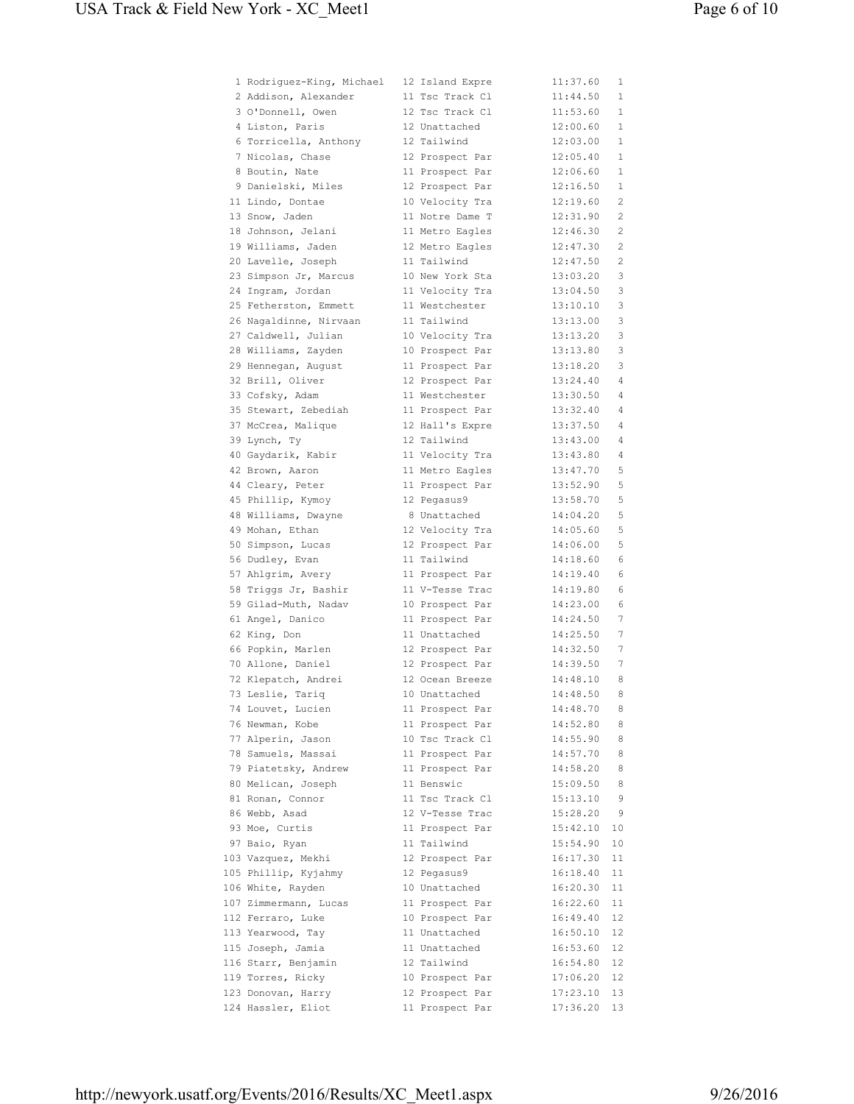| 1 Rodriguez-King, Michael | 12 Island Expre | 11:37.60 | 1            |
|---------------------------|-----------------|----------|--------------|
| 2 Addison, Alexander      | 11 Tsc Track Cl | 11:44.50 | 1            |
| 3 O'Donnell, Owen         | 12 Tsc Track Cl | 11:53.60 | 1            |
| 4 Liston, Paris           | 12 Unattached   | 12:00.60 | $\mathbf{1}$ |
| 6 Torricella, Anthony     | 12 Tailwind     | 12:03.00 | $\mathbf{1}$ |
| 7 Nicolas, Chase          | 12 Prospect Par | 12:05.40 | 1            |
| 8 Boutin, Nate            | 11 Prospect Par | 12:06.60 | 1            |
|                           |                 |          |              |
| 9 Danielski, Miles        | 12 Prospect Par | 12:16.50 | 1            |
| 11 Lindo, Dontae          | 10 Velocity Tra | 12:19.60 | 2            |
| 13 Snow, Jaden            | 11 Notre Dame T | 12:31.90 | 2            |
| 18 Johnson, Jelani        | 11 Metro Eagles | 12:46.30 | 2            |
| 19 Williams, Jaden        | 12 Metro Eagles | 12:47.30 | 2            |
| 20 Lavelle, Joseph        | 11 Tailwind     | 12:47.50 | 2            |
| 23 Simpson Jr, Marcus     | 10 New York Sta | 13:03.20 | 3            |
| 24 Ingram, Jordan         | 11 Velocity Tra | 13:04.50 | 3            |
| 25 Fetherston, Emmett     | 11 Westchester  | 13:10.10 | 3            |
| 26 Nagaldinne, Nirvaan    | 11 Tailwind     | 13:13.00 | 3            |
| 27 Caldwell, Julian       |                 | 13:13.20 | 3            |
|                           | 10 Velocity Tra |          |              |
| 28 Williams, Zayden       | 10 Prospect Par | 13:13.80 | 3            |
| 29 Hennegan, August       | 11 Prospect Par | 13:18.20 | 3            |
| 32 Brill, Oliver          | 12 Prospect Par | 13:24.40 | 4            |
| 33 Cofsky, Adam           | 11 Westchester  | 13:30.50 | 4            |
| 35 Stewart, Zebediah      | 11 Prospect Par | 13:32.40 | 4            |
| 37 McCrea, Malique        | 12 Hall's Expre | 13:37.50 | 4            |
| 39 Lynch, Ty              | 12 Tailwind     | 13:43.00 | 4            |
| 40 Gaydarik, Kabir        | 11 Velocity Tra | 13:43.80 | 4            |
| 42 Brown, Aaron           | 11 Metro Eagles | 13:47.70 | 5            |
| 44 Cleary, Peter          |                 | 13:52.90 | 5            |
|                           | 11 Prospect Par |          |              |
| 45 Phillip, Kymoy         | 12 Pegasus9     | 13:58.70 | 5            |
| 48 Williams, Dwayne       | 8 Unattached    | 14:04.20 | 5            |
| 49 Mohan, Ethan           | 12 Velocity Tra | 14:05.60 | 5            |
| 50 Simpson, Lucas         | 12 Prospect Par | 14:06.00 | 5            |
| 56 Dudley, Evan           | 11 Tailwind     | 14:18.60 | 6            |
| 57 Ahlgrim, Avery         | 11 Prospect Par | 14:19.40 | 6            |
| 58 Triggs Jr, Bashir      | 11 V-Tesse Trac | 14:19.80 | 6            |
| 59 Gilad-Muth, Nadav      | 10 Prospect Par | 14:23.00 | 6            |
| 61 Angel, Danico          | 11 Prospect Par | 14:24.50 | 7            |
| 62 King, Don              | 11 Unattached   | 14:25.50 | 7            |
| 66 Popkin, Marlen         | 12 Prospect Par | 14:32.50 | 7            |
|                           |                 |          |              |
| 70 Allone, Daniel         | 12 Prospect Par | 14:39.50 | 7            |
| 72 Klepatch, Andrei       | 12 Ocean Breeze | 14:48.10 | 8            |
| 73 Leslie, Tariq          | 10 Unattached   | 14:48.50 | 8            |
| 74 Louvet, Lucien         | 11 Prospect Par | 14:48.70 | 8            |
| 76 Newman, Kobe           | 11 Prospect Par | 14:52.80 | 8            |
| 77 Alperin, Jason         | 10 Tsc Track Cl | 14:55.90 | 8            |
| 78 Samuels, Massai        | 11 Prospect Par | 14:57.70 | 8            |
| 79 Piatetsky, Andrew      | 11 Prospect Par | 14:58.20 | 8            |
| 80 Melican, Joseph        | 11 Benswic      | 15:09.50 | 8            |
| 81 Ronan, Connor          | 11 Tsc Track Cl | 15:13.10 | 9            |
| 86 Webb, Asad             | 12 V-Tesse Trac | 15:28.20 | - 9          |
| 93 Moe, Curtis            | 11 Prospect Par | 15:42.10 | 10           |
| 97 Baio, Ryan             | 11 Tailwind     |          |              |
|                           |                 | 15:54.90 | 10           |
| 103 Vazquez, Mekhi        | 12 Prospect Par | 16:17.30 | 11           |
| 105 Phillip, Kyjahmy      | 12 Pegasus9     | 16:18.40 | 11           |
| 106 White, Rayden         | 10 Unattached   | 16:20.30 | 11           |
| 107 Zimmermann, Lucas     | 11 Prospect Par | 16:22.60 | 11           |
| 112 Ferraro, Luke         | 10 Prospect Par | 16:49.40 | 12           |
| 113 Yearwood, Tay         | 11 Unattached   | 16:50.10 | 12           |
| 115 Joseph, Jamia         | 11 Unattached   | 16:53.60 | 12           |
| 116 Starr, Benjamin       | 12 Tailwind     | 16:54.80 | 12           |
| 119 Torres, Ricky         | 10 Prospect Par | 17:06.20 | 12           |
| 123 Donovan, Harry        | 12 Prospect Par | 17:23.10 | 13           |
| 124 Hassler, Eliot        | 11 Prospect Par | 17:36.20 | 13           |
|                           |                 |          |              |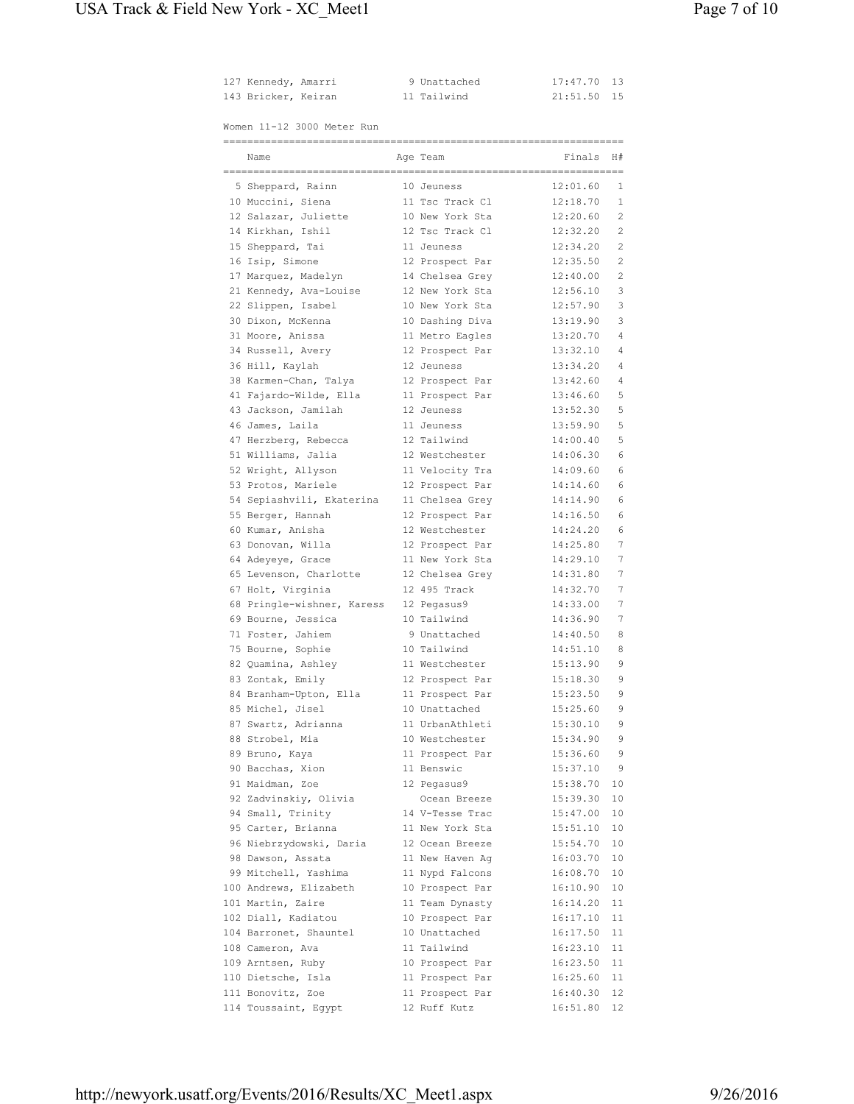| 127 Kennedy, Amarri |  | 9 Unattached | 17:47.70 13 |  |
|---------------------|--|--------------|-------------|--|
| 143 Bricker, Keiran |  | 11 Tailwind  | 21:51.50 15 |  |

Women 11-12 3000 Meter Run

| MOMEN II-IZ 3000 MELEI RUN |                 |           |    |
|----------------------------|-----------------|-----------|----|
| Name                       | Age Team        | Finals H# |    |
| 5 Sheppard, Rainn          | 10 Jeuness      | 12:01.60  | 1  |
| 10 Muccini, Siena          | 11 Tsc Track Cl | 12:18.70  | 1  |
| 12 Salazar, Juliette       | 10 New York Sta | 12:20.60  | 2  |
| 14 Kirkhan, Ishil          | 12 Tsc Track Cl | 12:32.20  | 2  |
| 15 Sheppard, Tai           | 11 Jeuness      | 12:34.20  | 2  |
| 16 Isip, Simone            | 12 Prospect Par | 12:35.50  | 2  |
| 17 Marquez, Madelyn        | 14 Chelsea Grey | 12:40.00  | 2  |
| 21 Kennedy, Ava-Louise     | 12 New York Sta | 12:56.10  | 3  |
| 22 Slippen, Isabel         | 10 New York Sta | 12:57.90  | 3  |
| 30 Dixon, McKenna          | 10 Dashing Diva | 13:19.90  | 3  |
| 31 Moore, Anissa           | 11 Metro Eagles | 13:20.70  | 4  |
| 34 Russell, Avery          | 12 Prospect Par | 13:32.10  | 4  |
| 36 Hill, Kaylah            | 12 Jeuness      | 13:34.20  | 4  |
| 38 Karmen-Chan, Talya      | 12 Prospect Par | 13:42.60  | 4  |
| 41 Fajardo-Wilde, Ella     | 11 Prospect Par | 13:46.60  | 5  |
| 43 Jackson, Jamilah        | 12 Jeuness      | 13:52.30  | 5  |
| 46 James, Laila            | 11 Jeuness      | 13:59.90  | 5  |
| 47 Herzberg, Rebecca       | 12 Tailwind     | 14:00.40  | 5  |
| 51 Williams, Jalia         | 12 Westchester  | 14:06.30  | 6  |
| 52 Wright, Allyson         | 11 Velocity Tra | 14:09.60  | 6  |
| 53 Protos, Mariele         | 12 Prospect Par | 14:14.60  | 6  |
| 54 Sepiashvili, Ekaterina  | 11 Chelsea Grey | 14:14.90  | 6  |
| 55 Berger, Hannah          | 12 Prospect Par | 14:16.50  | 6  |
| 60 Kumar, Anisha           | 12 Westchester  | 14:24.20  | 6  |
| 63 Donovan, Willa          | 12 Prospect Par | 14:25.80  | 7  |
| 64 Adeyeye, Grace          | 11 New York Sta | 14:29.10  | 7  |
| 65 Levenson, Charlotte     | 12 Chelsea Grey | 14:31.80  | 7  |
| 67 Holt, Virginia          | 12 495 Track    | 14:32.70  | 7  |
| 68 Pringle-wishner, Karess | 12 Pegasus9     | 14:33.00  | 7  |
| 69 Bourne, Jessica         | 10 Tailwind     | 14:36.90  | 7  |
| 71 Foster, Jahiem          | 9 Unattached    | 14:40.50  | 8  |
| 75 Bourne, Sophie          | 10 Tailwind     | 14:51.10  | 8  |
| 82 Quamina, Ashley         | 11 Westchester  | 15:13.90  | 9  |
| 83 Zontak, Emily           | 12 Prospect Par | 15:18.30  | 9  |
| 84 Branham-Upton, Ella     | 11 Prospect Par | 15:23.50  | 9  |
| 85 Michel, Jisel           | 10 Unattached   | 15:25.60  | 9  |
| 87 Swartz, Adrianna        | 11 UrbanAthleti | 15:30.10  | 9  |
| 88 Strobel, Mia            | 10 Westchester  | 15:34.90  | 9  |
| 89 Bruno, Kaya             | 11 Prospect Par | 15:36.60  | 9  |
| 90 Bacchas, Xion           | 11 Benswic      | 15:37.10  | 9  |
| 91 Maidman, Zoe            | 12 Pegasus9     | 15:38.70  | 10 |
| 92 Zadvinskiy, Olivia      | Ocean Breeze    | 15:39.30  | 10 |
| 94 Small, Trinity          | 14 V-Tesse Trac | 15:47.00  | 10 |
| 95 Carter, Brianna         | 11 New York Sta | 15:51.10  | 10 |
| 96 Niebrzydowski, Daria    | 12 Ocean Breeze | 15:54.70  | 10 |
| 98 Dawson, Assata          | 11 New Haven Aq | 16:03.70  | 10 |
| 99 Mitchell, Yashima       | 11 Nypd Falcons | 16:08.70  | 10 |
| 100 Andrews, Elizabeth     | 10 Prospect Par | 16:10.90  | 10 |
| 101 Martin, Zaire          | 11 Team Dynasty | 16:14.20  | 11 |
| 102 Diall, Kadiatou        | 10 Prospect Par | 16:17.10  | 11 |
| 104 Barronet, Shauntel     | 10 Unattached   | 16:17.50  | 11 |
| 108 Cameron, Ava           | 11 Tailwind     | 16:23.10  | 11 |
| 109 Arntsen, Ruby          | 10 Prospect Par | 16:23.50  | 11 |
| 110 Dietsche, Isla         | 11 Prospect Par | 16:25.60  | 11 |
| 111 Bonovitz, Zoe          | 11 Prospect Par | 16:40.30  | 12 |
| 114 Toussaint, Egypt       | 12 Ruff Kutz    | 16:51.80  | 12 |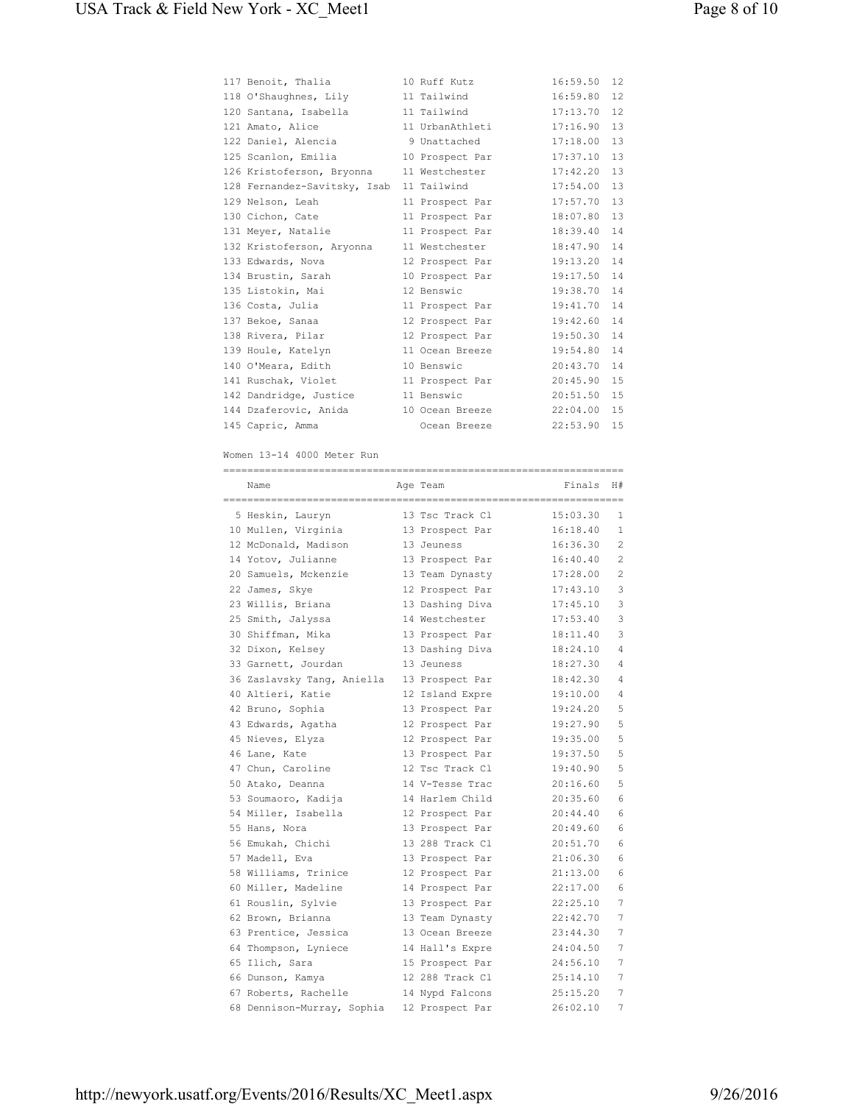| 117 Benoit, Thalia                       | 10 Ruff Kutz             | 16:59.50 | 12 |
|------------------------------------------|--------------------------|----------|----|
| 118 O'Shaughnes, Lily                    | 11 Tailwind              | 16:59.80 | 12 |
| 120 Santana, Isabella 11 Tailwind        |                          | 17:13.70 | 12 |
| 121 Amato, Alice                         | 11 UrbanAthleti          | 17:16.90 | 13 |
| 122 Daniel, Alencia (2008) 9 Unattached  |                          | 17:18.00 | 13 |
| 125 Scanlon, Emilia                      | 10 Prospect Par          | 17:37.10 | 13 |
| 126 Kristoferson, Bryonna 11 Westchester |                          | 17:42.20 | 13 |
| 128 Fernandez-Savitsky, Isab 11 Tailwind |                          | 17:54.00 | 13 |
| 129 Nelson, Leah                         | 11 Prospect Par          | 17:57.70 | 13 |
| 130 Cichon, Cate                         | 11 Prospect Par 18:07.80 |          | 13 |
| 131 Meyer, Natalie                       | 11 Prospect Par          | 18:39.40 | 14 |
| 132 Kristoferson, Aryonna                | 11 Westchester 18:47.90  |          | 14 |
| 133 Edwards, Nova                        | 12 Prospect Par          | 19:13.20 | 14 |
| 134 Brustin, Sarah                       | 10 Prospect Par          | 19:17.50 | 14 |
| 135 Listokin, Mai                        | 12 Benswic               | 19:38.70 | 14 |
| 136 Costa, Julia                         | 11 Prospect Par          | 19:41.70 | 14 |
| 137 Bekoe, Sanaa                         | 12 Prospect Par 19:42.60 |          | 14 |
| 138 Rivera, Pilar                        | 12 Prospect Par          | 19:50.30 | 14 |
| 139 Houle, Katelyn                       | 11 Ocean Breeze          | 19:54.80 | 14 |
| 140 O'Meara, Edith                       | 10 Benswic               | 20:43.70 | 14 |
| 141 Ruschak, Violet                      | 11 Prospect Par          | 20:45.90 | 15 |
| 142 Dandridge, Justice                   | 11 Benswic               | 20:51.50 | 15 |
| 144 Dzaferovic, Anida                    | 10 Ocean Breeze          | 22:04.00 | 15 |
| 145 Capric, Amma                         | Ocean Breeze             | 22:53.90 | 15 |

Women 13-14 4000 Meter Run

| =====================<br>Name | Age Team        | =======================<br>Finals | H#             |
|-------------------------------|-----------------|-----------------------------------|----------------|
|                               |                 |                                   |                |
| 5 Heskin, Lauryn              | 13 Tsc Track Cl | 15:03.30                          | 1              |
| 10 Mullen, Virginia           | 13 Prospect Par | 16:18.40                          | 1              |
| 12 McDonald, Madison          | 13 Jeuness      | 16:36.30                          | $\mathfrak{D}$ |
| 14 Yotov, Julianne            | 13 Prospect Par | 16:40.40                          | $\mathfrak{D}$ |
| 20 Samuels, Mckenzie          | 13 Team Dynasty | 17:28.00                          | 2              |
| 22 James, Skye                | 12 Prospect Par | 17:43.10                          | 3              |
| 23 Willis, Briana             | 13 Dashing Diva | 17:45.10                          | 3              |
| 25 Smith, Jalyssa             | 14 Westchester  | 17:53.40                          | 3              |
| 30 Shiffman, Mika             | 13 Prospect Par | 18:11.40                          | 3              |
| 32 Dixon, Kelsey              | 13 Dashing Diva | 18:24.10                          | $\overline{4}$ |
| 33 Garnett, Jourdan           | 13 Jeuness      | 18:27.30                          | $\overline{4}$ |
| 36 Zaslavsky Tang, Aniella    | 13 Prospect Par | 18:42.30                          | 4              |
| 40 Altieri, Katie             | 12 Island Expre | 19:10.00                          | 4              |
| 42 Bruno, Sophia              | 13 Prospect Par | 19:24.20                          | 5              |
| 43 Edwards, Agatha            | 12 Prospect Par | 19:27.90                          | 5              |
| 45 Nieves, Elyza              | 12 Prospect Par | 19:35.00                          | 5              |
| 46 Lane, Kate                 | 13 Prospect Par | 19:37.50                          | 5              |
| 47 Chun, Caroline             | 12 Tsc Track Cl | 19:40.90                          | 5              |
| 50 Atako, Deanna              | 14 V-Tesse Trac | 20:16.60                          | 5              |
| 53 Soumaoro, Kadija           | 14 Harlem Child | 20:35.60                          | 6              |
| 54 Miller, Isabella           | 12 Prospect Par | 20:44.40                          | 6              |
| 55 Hans, Nora                 | 13 Prospect Par | 20:49.60                          | 6              |
| 56 Emukah, Chichi             | 13 288 Track Cl | 20:51.70                          | 6              |
| 57 Madell, Eva                | 13 Prospect Par | 21:06.30                          | 6              |
| 58 Williams, Trinice          | 12 Prospect Par | 21:13.00                          | 6              |
| 60 Miller, Madeline           | 14 Prospect Par | 22:17.00                          | 6              |
| 61 Rouslin, Sylvie            | 13 Prospect Par | 22:25.10                          | 7              |
| 62 Brown, Brianna             | 13 Team Dynasty | 22:42.70                          | 7              |
| 63 Prentice, Jessica          | 13 Ocean Breeze | 23:44.30                          | 7              |
| 64 Thompson, Lyniece          | 14 Hall's Expre | 24:04.50                          | 7              |
| 65 Ilich, Sara                | 15 Prospect Par | 24:56.10                          | 7              |
| 66 Dunson, Kamya              | 12 288 Track Cl | 25:14.10                          | 7              |
| 67 Roberts, Rachelle          | 14 Nypd Falcons | 25:15.20                          | 7              |
| 68 Dennison-Murray, Sophia    | 12 Prospect Par | 26:02.10                          | 7              |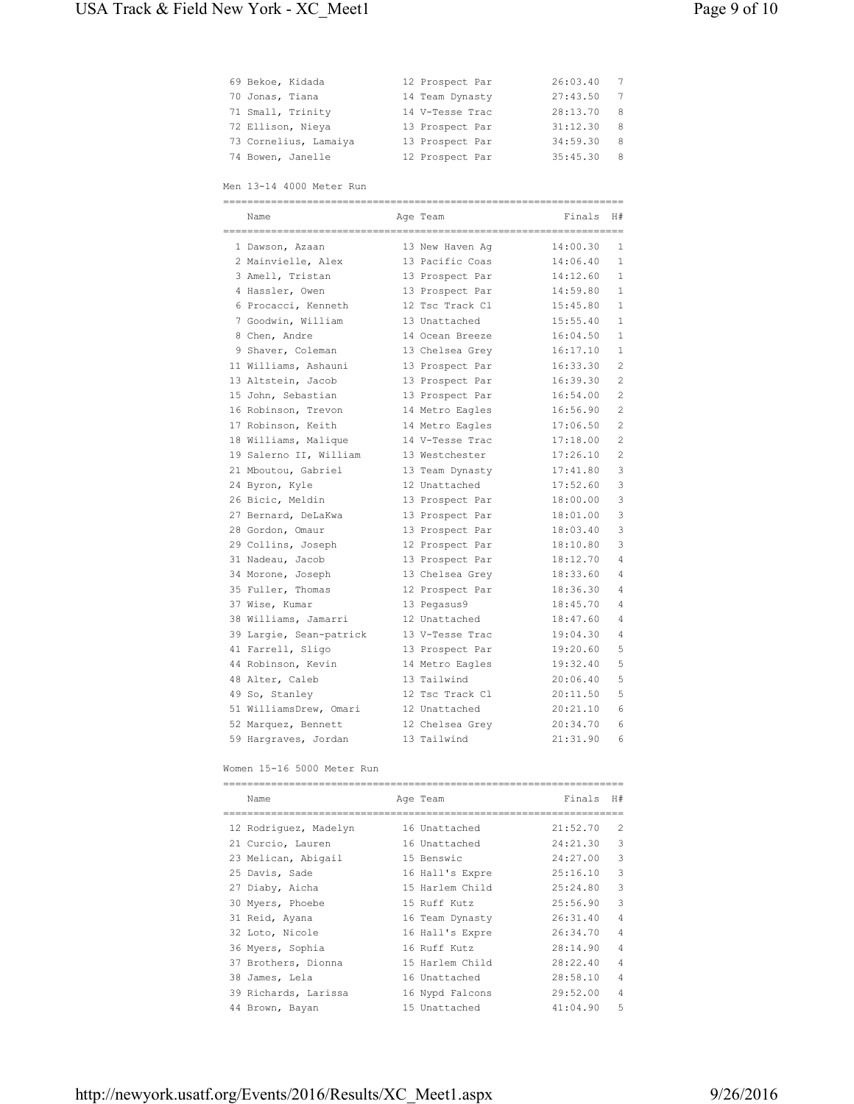| 69 Bekoe, Kidada      | 12 Prospect Par | 26:03.40 | $7\phantom{0}$ |
|-----------------------|-----------------|----------|----------------|
| 70 Jonas, Tiana       | 14 Team Dynasty | 27:43.50 | 7              |
| 71 Small, Trinity     | 14 V-Tesse Trac | 28:13.70 | 8              |
| 72 Ellison, Nieya     | 13 Prospect Par | 31:12.30 | 8              |
| 73 Cornelius, Lamaiya | 13 Prospect Par | 34:59.30 | 8              |
| 74 Bowen, Janelle     | 12 Prospect Par | 35:45.30 | 8              |

Men 13-14 4000 Meter Run

| =========== |                         |  |                 |          |                |  |
|-------------|-------------------------|--|-----------------|----------|----------------|--|
|             | Name                    |  | Age Team        | Finals   | H#             |  |
|             | 1 Dawson, Azaan         |  | 13 New Haven Aq | 14:00.30 | 1              |  |
|             | 2 Mainvielle, Alex      |  | 13 Pacific Coas | 14:06.40 | 1              |  |
|             | 3 Amell, Tristan        |  | 13 Prospect Par | 14:12.60 | 1.             |  |
|             | 4 Hassler, Owen         |  | 13 Prospect Par | 14:59.80 | $\mathbf{1}$   |  |
|             | 6 Procacci, Kenneth     |  | 12 Tsc Track Cl | 15:45.80 | 1              |  |
|             | 7 Goodwin, William      |  | 13 Unattached   | 15:55.40 | $\mathbf{1}$   |  |
|             | 8 Chen, Andre           |  | 14 Ocean Breeze | 16:04.50 | 1              |  |
|             | 9 Shaver, Coleman       |  | 13 Chelsea Grey | 16:17.10 | 1              |  |
|             | 11 Williams, Ashauni    |  | 13 Prospect Par | 16:33.30 | 2              |  |
|             | 13 Altstein, Jacob      |  | 13 Prospect Par | 16:39.30 | $\overline{c}$ |  |
|             | 15 John, Sebastian      |  | 13 Prospect Par | 16:54.00 | 2              |  |
|             | 16 Robinson, Trevon     |  | 14 Metro Eagles | 16:56.90 | 2              |  |
|             | 17 Robinson, Keith      |  | 14 Metro Eagles | 17:06.50 | $\mathfrak{D}$ |  |
|             | 18 Williams, Malique    |  | 14 V-Tesse Trac | 17:18.00 | $\overline{c}$ |  |
|             | 19 Salerno II, William  |  | 13 Westchester  | 17:26.10 | $\overline{c}$ |  |
|             | 21 Mboutou, Gabriel     |  | 13 Team Dynasty | 17:41.80 | 3              |  |
|             | 24 Byron, Kyle          |  | 12 Unattached   | 17:52.60 | 3              |  |
|             | 26 Bicic, Meldin        |  | 13 Prospect Par | 18:00.00 | 3              |  |
|             | 27 Bernard, DeLaKwa     |  | 13 Prospect Par | 18:01.00 | 3              |  |
|             | 28 Gordon, Omaur        |  | 13 Prospect Par | 18:03.40 | 3              |  |
|             | 29 Collins, Joseph      |  | 12 Prospect Par | 18:10.80 | 3              |  |
|             | 31 Nadeau, Jacob        |  | 13 Prospect Par | 18:12.70 | 4              |  |
|             | 34 Morone, Joseph       |  | 13 Chelsea Grey | 18:33.60 | 4              |  |
|             | 35 Fuller, Thomas       |  | 12 Prospect Par | 18:36.30 | $\overline{4}$ |  |
|             | 37 Wise, Kumar          |  | 13 Pegasus9     | 18:45.70 | 4              |  |
|             | 38 Williams, Jamarri    |  | 12 Unattached   | 18:47.60 | 4              |  |
|             | 39 Largie, Sean-patrick |  | 13 V-Tesse Trac | 19:04.30 | $\overline{4}$ |  |
|             | 41 Farrell, Sligo       |  | 13 Prospect Par | 19:20.60 | 5              |  |
|             | 44 Robinson, Kevin      |  | 14 Metro Eagles | 19:32.40 | 5              |  |
|             | 48 Alter, Caleb         |  | 13 Tailwind     | 20:06.40 | 5              |  |
|             | 49 So, Stanley          |  | 12 Tsc Track Cl | 20:11.50 | 5              |  |
|             | 51 WilliamsDrew, Omari  |  | 12 Unattached   | 20:21.10 | 6              |  |
|             | 52 Marquez, Bennett     |  | 12 Chelsea Grey | 20:34.70 | 6              |  |
|             | 59 Hargraves, Jordan    |  | 13 Tailwind     | 21:31.90 | 6              |  |

Women 15-16 5000 Meter Run

|  | Name                  |  | Age Team        | Finals   | H#             |  |  |
|--|-----------------------|--|-----------------|----------|----------------|--|--|
|  |                       |  |                 |          |                |  |  |
|  | 12 Rodriquez, Madelyn |  | 16 Unattached   | 21:52.70 | $\mathfrak{D}$ |  |  |
|  | 21 Curcio, Lauren     |  | 16 Unattached   | 24:21.30 | 3              |  |  |
|  | 23 Melican, Abigail   |  | 15 Benswic      | 24:27.00 | 3              |  |  |
|  | 25 Davis, Sade        |  | 16 Hall's Expre | 25:16.10 | 3              |  |  |
|  | 27 Diaby, Aicha       |  | 15 Harlem Child | 25:24.80 | 3              |  |  |
|  | 30 Myers, Phoebe      |  | 15 Ruff Kutz    | 25:56.90 | 3              |  |  |
|  | 31 Reid, Ayana        |  | 16 Team Dynasty | 26:31.40 | $\overline{4}$ |  |  |
|  | 32 Loto, Nicole       |  | 16 Hall's Expre | 26:34.70 | $\overline{4}$ |  |  |
|  | 36 Myers, Sophia      |  | 16 Ruff Kutz    | 28:14.90 | $\overline{4}$ |  |  |
|  | 37 Brothers, Dionna   |  | 15 Harlem Child | 28:22.40 | $\overline{4}$ |  |  |
|  | 38 James, Lela        |  | 16 Unattached   | 28:58.10 | $\overline{4}$ |  |  |
|  | 39 Richards, Larissa  |  | 16 Nypd Falcons | 29:52.00 | $\overline{4}$ |  |  |
|  | 44 Brown, Bayan       |  | 15 Unattached   | 41:04.90 | 5              |  |  |